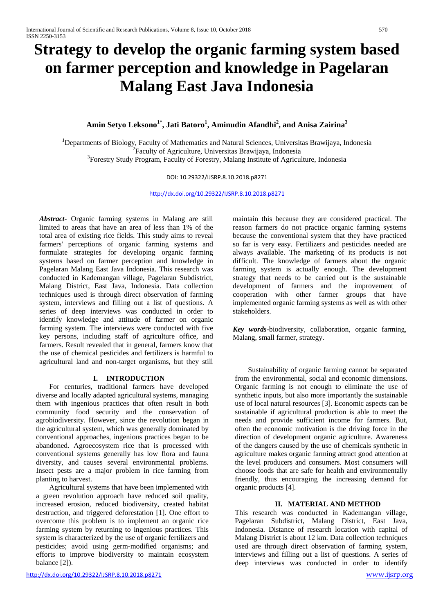# **Strategy to develop the organic farming system based on farmer perception and knowledge in Pagelaran Malang East Java Indonesia**

# **Amin Setyo Leksono1\* , Jati Batoro1 , Aminudin Afandhi<sup>2</sup> , and Anisa Zairina<sup>3</sup>**

<sup>1</sup>Departments of Biology, Faculty of Mathematics and Natural Sciences, Universitas Brawijaya, Indonesia<br><sup>2</sup>Economy of Agriculture Universites Prequisive Indonesia  ${}^{2}$ Faculty of Agriculture, Universitas Brawijaya, Indonesia Forestry Study Program, Faculty of Forestry, Malang Institute of Agriculture, Indonesia

#### DOI: 10.29322/IJSRP.8.10.2018.p8271

<http://dx.doi.org/10.29322/IJSRP.8.10.2018.p8271>

*Abstract-* Organic farming systems in Malang are still limited to areas that have an area of less than 1% of the total area of existing rice fields. This study aims to reveal farmers' perceptions of organic farming systems and formulate strategies for developing organic farming systems based on farmer perception and knowledge in Pagelaran Malang East Java Indonesia. This research was conducted in Kademangan village, Pagelaran Subdistrict, Malang District, East Java, Indonesia. Data collection techniques used is through direct observation of farming system, interviews and filling out a list of questions. A series of deep interviews was conducted in order to identify knowledge and attitude of farmer on organic farming system. The interviews were conducted with five key persons, including staff of agriculture office, and farmers. Result revealed that in general, farmers know that the use of chemical pesticides and fertilizers is harmful to agricultural land and non-target organisms, but they still

## **I. INTRODUCTION**

For centuries, traditional farmers have developed diverse and locally adapted agricultural systems, managing them with ingenious practices that often result in both community food security and the conservation of agrobiodiversity. However, since the revolution began in the agricultural system, which was generally dominated by conventional approaches, ingenious practices began to be abandoned. Agroecosystem rice that is processed with conventional systems generally has low flora and fauna diversity, and causes several environmental problems. Insect pests are a major problem in rice farming from planting to harvest.

Agricultural systems that have been implemented with a green revolution approach have reduced soil quality, increased erosion, reduced biodiversity, created habitat destruction, and triggered deforestation [1]. One effort to overcome this problem is to implement an organic rice farming system by returning to ingenious practices. This system is characterized by the use of organic fertilizers and pesticides; avoid using germ-modified organisms; and efforts to improve biodiversity to maintain ecosystem balance [2]).

maintain this because they are considered practical. The reason farmers do not practice organic farming systems because the conventional system that they have practiced so far is very easy. Fertilizers and pesticides needed are always available. The marketing of its products is not difficult. The knowledge of farmers about the organic farming system is actually enough. The development strategy that needs to be carried out is the sustainable development of farmers and the improvement of cooperation with other farmer groups that have implemented organic farming systems as well as with other stakeholders.

*Key words*-biodiversity, collaboration, organic farming, Malang, small farmer, strategy.

Sustainability of organic farming cannot be separated from the environmental, social and economic dimensions. Organic farming is not enough to eliminate the use of synthetic inputs, but also more importantly the sustainable use of local natural resources [3]. Economic aspects can be sustainable if agricultural production is able to meet the needs and provide sufficient income for farmers. But, often the economic motivation is the driving force in the direction of development organic agriculture. Awareness of the dangers caused by the use of chemicals synthetic in agriculture makes organic farming attract good attention at the level producers and consumers. Most consumers will choose foods that are safe for health and environmentally friendly, thus encouraging the increasing demand for organic products [4].

## **II. MATERIAL AND METHOD**

This research was conducted in Kademangan village, Pagelaran Subdistrict, Malang District, East Java, Indonesia. Distance of research location with capital of Malang District is about 12 km. Data collection techniques used are through direct observation of farming system, interviews and filling out a list of questions. A series of deep interviews was conducted in order to identify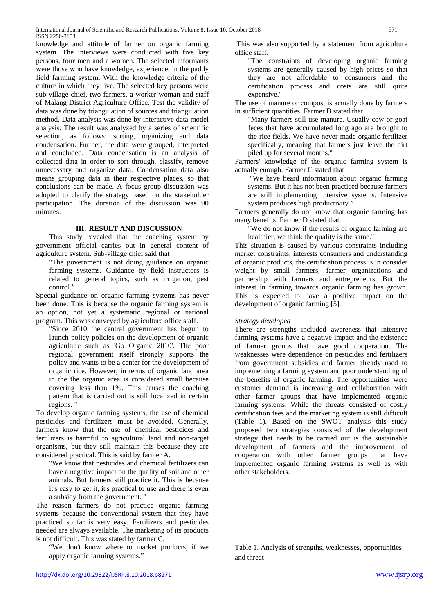knowledge and attitude of farmer on organic farming system. The interviews were conducted with five key persons, four men and a women. The selected informants were those who have knowledge, experience, in the paddy field farming system. With the knowledge criteria of the culture in which they live. The selected key persons were sub-village chief, two farmers, a worker woman and staff of Malang District Agriculture Office. Test the validity of data was done by triangulation of sources and triangulation method. Data analysis was done by interactive data model analysis. The result was analyzed by a series of scientific selection, as follows: sorting, organizing and data condensation. Further, the data were grouped, interpreted and concluded. Data condensation is an analysis of collected data in order to sort through, classify, remove unnecessary and organize data. Condensation data also means grouping data in their respective places, so that conclusions can be made. A focus group discussion was adopted to clarify the strategy based on the stakeholder participation. The duration of the discussion was 90 minutes.

# **III. RESULT AND DISCUSSION**

This study revealed that the coaching system by government official carries out in general content of agriculture system. Sub-village chief said that

"The government is not doing guidance on organic farming systems. Guidance by field instructors is related to general topics, such as irrigation, pest control."

Special guidance on organic farming systems has never been done. This is because the organic farming system is an option, not yet a systematic regional or national program. This was conveyed by agriculture office staff.

"Since 2010 the central government has begun to launch policy policies on the development of organic agriculture such as 'Go Organic 2010'. The poor regional government itself strongly supports the policy and wants to be a center for the development of organic rice. However, in terms of organic land area in the the organic area is considered small because covering less than 1%. This causes the coaching pattern that is carried out is still localized in certain regions. "

To develop organic farming systems, the use of chemical pesticides and fertilizers must be avoided. Generally, farmers know that the use of chemical pesticides and fertilizers is harmful to agricultural land and non-target organisms, but they still maintain this because they are considered practical. This is said by farmer A.

"We know that pesticides and chemical fertilizers can have a negative impact on the quality of soil and other animals. But farmers still practice it. This is because it's easy to get it, it's practical to use and there is even a subsidy from the government. "

The reason farmers do not practice organic farming systems because the conventional system that they have practiced so far is very easy. Fertilizers and pesticides needed are always available. The marketing of its products is not difficult. This was stated by farmer C.

"We don't know where to market products, if we apply organic farming systems."

This was also supported by a statement from agriculture office staff.

"The constraints of developing organic farming systems are generally caused by high prices so that they are not affordable to consumers and the certification process and costs are still quite expensive."

The use of manure or compost is actually done by farmers in sufficient quantities. Farmer B stated that

"Many farmers still use manure. Usually cow or goat feces that have accumulated long ago are brought to the rice fields. We have never made organic fertilizer specifically, meaning that farmers just leave the dirt piled up for several months."

Farmers' knowledge of the organic farming system is actually enough. Farmer C stated that

"We have heard information about organic farming systems. But it has not been practiced because farmers are still implementing intensive systems. Intensive system produces high productivity."

Farmers generally do not know that organic farming has many benefits. Farmer D stated that

"We do not know if the results of organic farming are healthier, we think the quality is the same."

This situation is caused by various constraints including market constraints, interests consumers and understanding of organic products, the certification process is in consider weight by small farmers, farmer organizations and partnership with farmers and entrepreneurs. But the interest in farming towards organic farming has grown. This is expected to have a positive impact on the development of organic farming [5].

## *Strategy developed*

There are strengths included awareness that intensive farming systems have a negative impact and the existence of farmer groups that have good cooperation. The weaknesses were dependence on pesticides and fertilizers from government subsidies and farmer already used to implementing a farming system and poor understanding of the benefits of organic farming. The opportunities were customer demand is increasing and collaboration with other farmer groups that have implemented organic farming systems. While the threats consisted of costly certification fees and the marketing system is still difficult (Table 1). Based on the SWOT analysis this study proposed two strategies consisted of the development strategy that needs to be carried out is the sustainable development of farmers and the improvement of cooperation with other farmer groups that have implemented organic farming systems as well as with other stakeholders.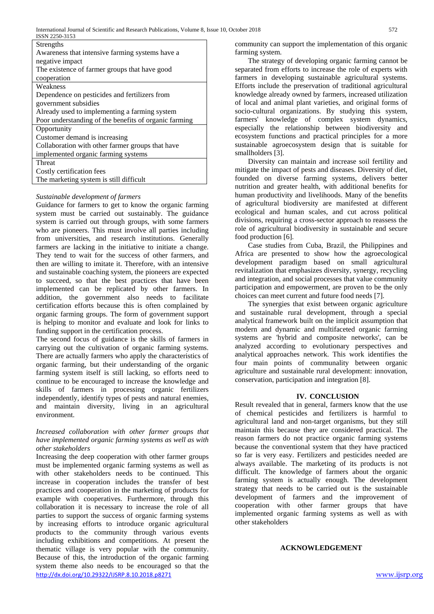| Strengths                                             |
|-------------------------------------------------------|
| Awareness that intensive farming systems have a       |
| negative impact                                       |
| The existence of farmer groups that have good         |
| cooperation                                           |
| Weakness                                              |
| Dependence on pesticides and fertilizers from         |
| government subsidies                                  |
| Already used to implementing a farming system         |
| Poor understanding of the benefits of organic farming |
| Opportunity                                           |
| Customer demand is increasing                         |
| Collaboration with other farmer groups that have      |
| implemented organic farming systems                   |
| Threat                                                |
| Costly certification fees                             |
| The marketing system is still difficult               |

## *Sustainable development of farmers*

Guidance for farmers to get to know the organic farming system must be carried out sustainably. The guidance system is carried out through groups, with some farmers who are pioneers. This must involve all parties including from universities, and research institutions. Generally farmers are lacking in the initiative to initiate a change. They tend to wait for the success of other farmers, and then are willing to imitate it. Therefore, with an intensive and sustainable coaching system, the pioneers are expected to succeed, so that the best practices that have been implemented can be replicated by other farmers. In addition, the government also needs to facilitate certification efforts because this is often complained by organic farming groups. The form of government support is helping to monitor and evaluate and look for links to funding support in the certification process.

The second focus of guidance is the skills of farmers in carrying out the cultivation of organic farming systems. There are actually farmers who apply the characteristics of organic farming, but their understanding of the organic farming system itself is still lacking, so efforts need to continue to be encouraged to increase the knowledge and skills of farmers in processing organic fertilizers independently, identify types of pests and natural enemies, and maintain diversity, living in an agricultural environment.

#### *Increased collaboration with other farmer groups that have implemented organic farming systems as well as with other stakeholders*

<http://dx.doi.org/10.29322/IJSRP.8.10.2018.p8271>[www.ijsrp.org](http://ijsrp.org/) Increasing the deep cooperation with other farmer groups must be implemented organic farming systems as well as with other stakeholders needs to be continued. This increase in cooperation includes the transfer of best practices and cooperation in the marketing of products for example with cooperatives. Furthermore, through this collaboration it is necessary to increase the role of all parties to support the success of organic farming systems by increasing efforts to introduce organic agricultural products to the community through various events including exhibitions and competitions. At present the thematic village is very popular with the community. Because of this, the introduction of the organic farming system theme also needs to be encouraged so that the

community can support the implementation of this organic farming system.

The strategy of developing organic farming cannot be separated from efforts to increase the role of experts with farmers in developing sustainable agricultural systems. Efforts include the preservation of traditional agricultural knowledge already owned by farmers, increased utilization of local and animal plant varieties, and original forms of socio-cultural organizations. By studying this system, farmers' knowledge of complex system dynamics, especially the relationship between biodiversity and ecosystem functions and practical principles for a more sustainable agroecosystem design that is suitable for smallholders [3].

Diversity can maintain and increase soil fertility and mitigate the impact of pests and diseases. Diversity of diet, founded on diverse farming systems, delivers better nutrition and greater health, with additional benefits for human productivity and livelihoods. Many of the benefits of agricultural biodiversity are manifested at different ecological and human scales, and cut across political divisions, requiring a cross-sector approach to reassess the role of agricultural biodiversity in sustainable and secure food production [6].

Case studies from Cuba, Brazil, the Philippines and Africa are presented to show how the agroecological development paradigm based on small agricultural revitalization that emphasizes diversity, synergy, recycling and integration, and social processes that value community participation and empowerment, are proven to be the only choices can meet current and future food needs [7].

The synergies that exist between organic agriculture and sustainable rural development, through a special analytical framework built on the implicit assumption that modern and dynamic and multifaceted organic farming systems are 'hybrid and composite networks', can be analyzed according to evolutionary perspectives and analytical approaches network. This work identifies the four main points of communality between organic agriculture and sustainable rural development: innovation, conservation, participation and integration [8].

## **IV. CONCLUSION**

Result revealed that in general, farmers know that the use of chemical pesticides and fertilizers is harmful to agricultural land and non-target organisms, but they still maintain this because they are considered practical. The reason farmers do not practice organic farming systems because the conventional system that they have practiced so far is very easy. Fertilizers and pesticides needed are always available. The marketing of its products is not difficult. The knowledge of farmers about the organic farming system is actually enough. The development strategy that needs to be carried out is the sustainable development of farmers and the improvement of cooperation with other farmer groups that have implemented organic farming systems as well as with other stakeholders

## **ACKNOWLEDGEMENT**